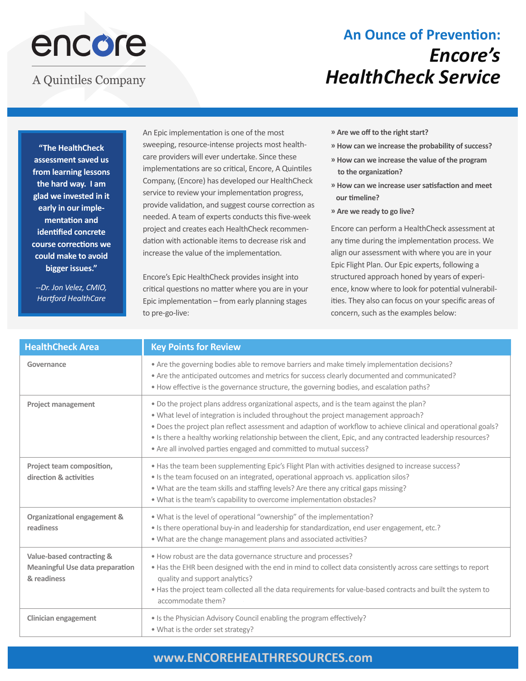# encore

### **A Quintiles Company**

# **An Ounce of Prevention:**  *Encore's HealthCheck Service*

**"The HealthCheck assessment saved us from learning lessons the hard way. I am glad we invested in it early in our implementation and identified concrete course corrections we could make to avoid bigger issues."**

*--Dr. Jon Velez, CMIO, Hartford HealthCare*

An Epic implementation is one of the most sweeping, resource-intense projects most healthcare providers will ever undertake. Since these implementations are so critical, Encore, A Quintiles Company, (Encore) has developed our HealthCheck service to review your implementation progress, provide validation, and suggest course correction as needed. A team of experts conducts this five-week project and creates each HealthCheck recommendation with actionable items to decrease risk and increase the value of the implementation.

Encore's Epic HealthCheck provides insight into critical questions no matter where you are in your Epic implementation – from early planning stages to pre-go-live:

- **» Are we off to the right start?**
- **» How can we increase the probability of success?**
- **» How can we increase the value of the program to the organization?**
- **» How can we increase user satisfaction and meet our timeline?**
- **» Are we ready to go live?**

Encore can perform a HealthCheck assessment at any time during the implementation process. We align our assessment with where you are in your Epic Flight Plan. Our Epic experts, following a structured approach honed by years of experience, know where to look for potential vulnerabilities. They also can focus on your specific areas of concern, such as the examples below:

| <b>HealthCheck Area</b>                                                            | <b>Key Points for Review</b>                                                                                                                                                                                                                                                                                                                                                                                                                                                             |  |
|------------------------------------------------------------------------------------|------------------------------------------------------------------------------------------------------------------------------------------------------------------------------------------------------------------------------------------------------------------------------------------------------------------------------------------------------------------------------------------------------------------------------------------------------------------------------------------|--|
| Governance                                                                         | • Are the governing bodies able to remove barriers and make timely implementation decisions?<br>• Are the anticipated outcomes and metrics for success clearly documented and communicated?<br>. How effective is the governance structure, the governing bodies, and escalation paths?                                                                                                                                                                                                  |  |
| <b>Project management</b>                                                          | . Do the project plans address organizational aspects, and is the team against the plan?<br>. What level of integration is included throughout the project management approach?<br>. Does the project plan reflect assessment and adaption of workflow to achieve clinical and operational goals?<br>. Is there a healthy working relationship between the client, Epic, and any contracted leadership resources?<br>• Are all involved parties engaged and committed to mutual success? |  |
| Project team composition,<br>direction & activities                                | • Has the team been supplementing Epic's Flight Plan with activities designed to increase success?<br>• Is the team focused on an integrated, operational approach vs. application silos?<br>. What are the team skills and staffing levels? Are there any critical gaps missing?<br>. What is the team's capability to overcome implementation obstacles?                                                                                                                               |  |
| Organizational engagement &<br>readiness                                           | . What is the level of operational "ownership" of the implementation?<br>• Is there operational buy-in and leadership for standardization, end user engagement, etc.?<br>. What are the change management plans and associated activities?                                                                                                                                                                                                                                               |  |
| Value-based contracting &<br><b>Meaningful Use data preparation</b><br>& readiness | . How robust are the data governance structure and processes?<br>• Has the EHR been designed with the end in mind to collect data consistently across care settings to report<br>quality and support analytics?<br>. Has the project team collected all the data requirements for value-based contracts and built the system to<br>accommodate them?                                                                                                                                     |  |
| <b>Clinician engagement</b>                                                        | • Is the Physician Advisory Council enabling the program effectively?<br>. What is the order set strategy?                                                                                                                                                                                                                                                                                                                                                                               |  |

#### **www.ENCOREHEALTHRESOURCES.com**